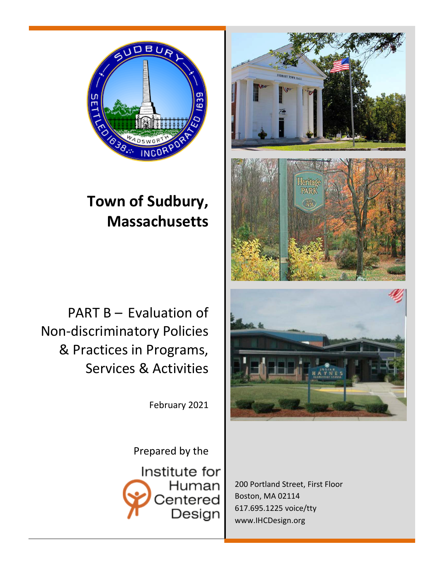

# **Town of Sudbury, Massachusetts**

PART B – Evaluation of Non-discriminatory Policies & Practices in Programs, Services & Activities

February 2021

Prepared by the

Institute for Human Centered Design



200 Portland Street, First Floor Boston, MA 02114 617.695.1225 voice/tty [www.IHCDesign.org](http://www.humancentereddesign.org/)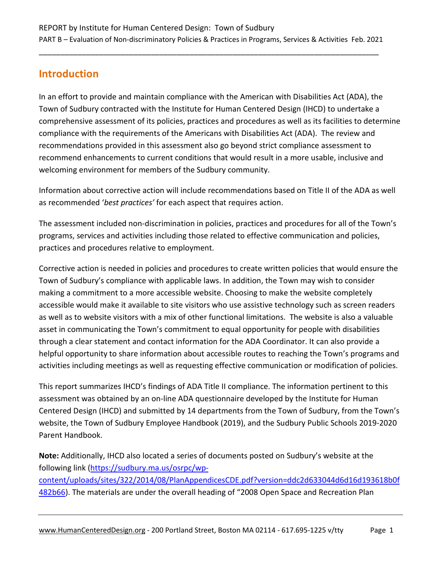# **Introduction**

In an effort to provide and maintain compliance with the American with Disabilities Act (ADA), the Town of Sudbury contracted with the Institute for Human Centered Design (IHCD) to undertake a comprehensive assessment of its policies, practices and procedures as well as its facilities to determine compliance with the requirements of the Americans with Disabilities Act (ADA). The review and recommendations provided in this assessment also go beyond strict compliance assessment to recommend enhancements to current conditions that would result in a more usable, inclusive and welcoming environment for members of the Sudbury community.

Information about corrective action will include recommendations based on Title II of the ADA as well as recommended '*best practices'* for each aspect that requires action.

The assessment included non-discrimination in policies, practices and procedures for all of the Town's programs, services and activities including those related to effective communication and policies, practices and procedures relative to employment.

Corrective action is needed in policies and procedures to create written policies that would ensure the Town of Sudbury's compliance with applicable laws. In addition, the Town may wish to consider making a commitment to a more accessible website. Choosing to make the website completely accessible would make it available to site visitors who use assistive technology such as screen readers as well as to website visitors with a mix of other functional limitations. The website is also a valuable asset in communicating the Town's commitment to equal opportunity for people with disabilities through a clear statement and contact information for the ADA Coordinator. It can also provide a helpful opportunity to share information about accessible routes to reaching the Town's programs and activities including meetings as well as requesting effective communication or modification of policies.

This report summarizes IHCD's findings of ADA Title II compliance. The information pertinent to this assessment was obtained by an on-line ADA questionnaire developed by the Institute for Human Centered Design (IHCD) and submitted by 14 departments from the Town of Sudbury, from the Town's website, the Town of Sudbury Employee Handbook (2019), and the Sudbury Public Schools 2019-2020 Parent Handbook.

**Note:** Additionally, IHCD also located a series of documents posted on Sudbury's website at the following link [\(https://sudbury.ma.us/osrpc/wp](https://sudbury.ma.us/osrpc/wp-content/uploads/sites/322/2014/08/PlanAppendicesCDE.pdf?version=ddc2d633044d6d16d193618b0f482b66)[content/uploads/sites/322/2014/08/PlanAppendicesCDE.pdf?version=ddc2d633044d6d16d193618b0f](https://sudbury.ma.us/osrpc/wp-content/uploads/sites/322/2014/08/PlanAppendicesCDE.pdf?version=ddc2d633044d6d16d193618b0f482b66) [482b66\)](https://sudbury.ma.us/osrpc/wp-content/uploads/sites/322/2014/08/PlanAppendicesCDE.pdf?version=ddc2d633044d6d16d193618b0f482b66). The materials are under the overall heading of "2008 Open Space and Recreation Plan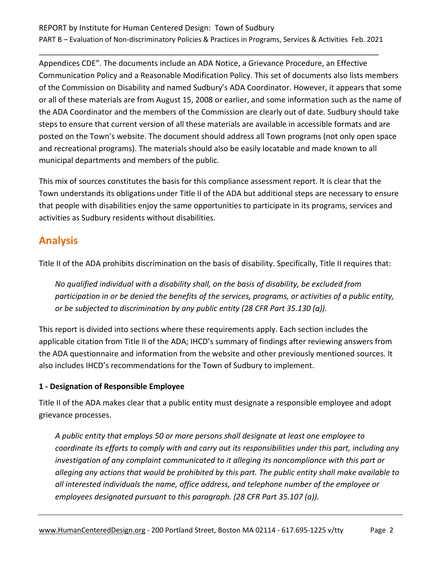#### REPORT by Institute for Human Centered Design: Town of Sudbury PART B – Evaluation of Non-discriminatory Policies & Practices in Programs, Services & Activities Feb. 2021

\_\_\_\_\_\_\_\_\_\_\_\_\_\_\_\_\_\_\_\_\_\_\_\_\_\_\_\_\_\_\_\_\_\_\_\_\_\_\_\_\_\_\_\_\_\_\_\_\_\_\_\_\_\_\_\_\_\_\_\_\_\_\_\_\_\_\_\_\_\_\_\_\_\_\_\_\_\_\_

Appendices CDE". The documents include an ADA Notice, a Grievance Procedure, an Effective Communication Policy and a Reasonable Modification Policy. This set of documents also lists members of the Commission on Disability and named Sudbury's ADA Coordinator. However, it appears that some or all of these materials are from August 15, 2008 or earlier, and some information such as the name of the ADA Coordinator and the members of the Commission are clearly out of date. Sudbury should take steps to ensure that current version of all these materials are available in accessible formats and are posted on the Town's website. The document should address all Town programs (not only open space and recreational programs). The materials should also be easily locatable and made known to all municipal departments and members of the public.

This mix of sources constitutes the basis for this compliance assessment report. It is clear that the Town understands its obligations under Title II of the ADA but additional steps are necessary to ensure that people with disabilities enjoy the same opportunities to participate in its programs, services and activities as Sudbury residents without disabilities.

## **Analysis**

Title II of the ADA prohibits discrimination on the basis of disability. Specifically, Title II requires that:

*No qualified individual with a disability shall, on the basis of disability, be excluded from participation in or be denied the benefits of the services, programs, or activities of a public entity, or be subjected to discrimination by any public entity (28 CFR Part 35.130 (a)).* 

This report is divided into sections where these requirements apply. Each section includes the applicable citation from Title II of the ADA; IHCD's summary of findings after reviewing answers from the ADA questionnaire and information from the website and other previously mentioned sources. It also includes IHCD's recommendations for the Town of Sudbury to implement.

#### **1 - Designation of Responsible Employee**

Title II of the ADA makes clear that a public entity must designate a responsible employee and adopt grievance processes.

*A public entity that employs 50 or more persons shall designate at least one employee to coordinate its efforts to comply with and carry out its responsibilities under this part, including any investigation of any complaint communicated to it alleging its noncompliance with this part or alleging any actions that would be prohibited by this part. The public entity shall make available to all interested individuals the name, office address, and telephone number of the employee or employees designated pursuant to this paragraph. (28 CFR Part 35.107 (a)).*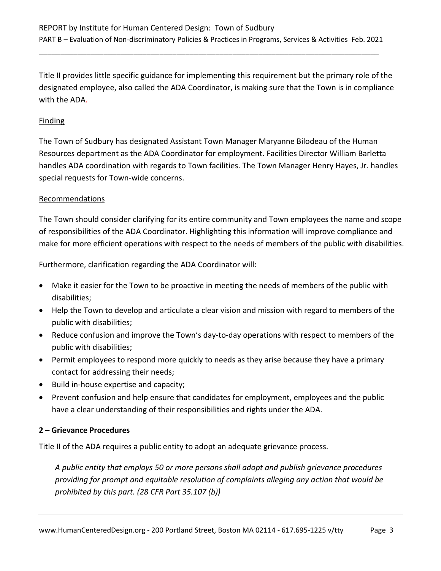Title II provides little specific guidance for implementing this requirement but the primary role of the designated employee, also called the ADA Coordinator, is making sure that the Town is in compliance with the ADA.

#### Finding

The Town of Sudbury has designated Assistant Town Manager Maryanne Bilodeau of the Human Resources department as the ADA Coordinator for employment. Facilities Director William Barletta handles ADA coordination with regards to Town facilities. The Town Manager Henry Hayes, Jr. handles special requests for Town-wide concerns.

#### Recommendations

The Town should consider clarifying for its entire community and Town employees the name and scope of responsibilities of the ADA Coordinator. Highlighting this information will improve compliance and make for more efficient operations with respect to the needs of members of the public with disabilities.

Furthermore, clarification regarding the ADA Coordinator will:

- Make it easier for the Town to be proactive in meeting the needs of members of the public with disabilities;
- Help the Town to develop and articulate a clear vision and mission with regard to members of the public with disabilities;
- Reduce confusion and improve the Town's day-to-day operations with respect to members of the public with disabilities;
- Permit employees to respond more quickly to needs as they arise because they have a primary contact for addressing their needs;
- Build in-house expertise and capacity;
- Prevent confusion and help ensure that candidates for employment, employees and the public have a clear understanding of their responsibilities and rights under the ADA.

#### **2 – Grievance Procedures**

Title II of the ADA requires a public entity to adopt an adequate grievance process.

*A public entity that employs 50 or more persons shall adopt and publish grievance procedures providing for prompt and equitable resolution of complaints alleging any action that would be prohibited by this part. (28 CFR Part 35.107 (b))*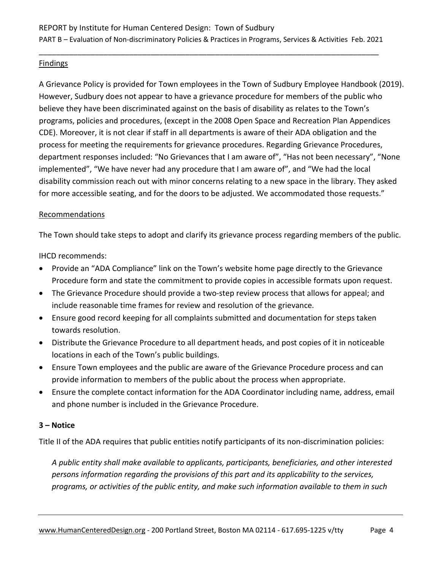#### Findings

A Grievance Policy is provided for Town employees in the Town of Sudbury Employee Handbook (2019). However, Sudbury does not appear to have a grievance procedure for members of the public who believe they have been discriminated against on the basis of disability as relates to the Town's programs, policies and procedures, (except in the 2008 Open Space and Recreation Plan Appendices CDE). Moreover, it is not clear if staff in all departments is aware of their ADA obligation and the process for meeting the requirements for grievance procedures. Regarding Grievance Procedures, department responses included: "No Grievances that I am aware of", "Has not been necessary", "None implemented", "We have never had any procedure that I am aware of", and "We had the local disability commission reach out with minor concerns relating to a new space in the library. They asked for more accessible seating, and for the doors to be adjusted. We accommodated those requests."

#### Recommendations

The Town should take steps to adopt and clarify its grievance process regarding members of the public.

IHCD recommends:

- Provide an "ADA Compliance" link on the Town's website home page directly to the Grievance Procedure form and state the commitment to provide copies in accessible formats upon request.
- The Grievance Procedure should provide a two-step review process that allows for appeal; and include reasonable time frames for review and resolution of the grievance.
- Ensure good record keeping for all complaints submitted and documentation for steps taken towards resolution.
- Distribute the Grievance Procedure to all department heads, and post copies of it in noticeable locations in each of the Town's public buildings.
- Ensure Town employees and the public are aware of the Grievance Procedure process and can provide information to members of the public about the process when appropriate.
- Ensure the complete contact information for the ADA Coordinator including name, address, email and phone number is included in the Grievance Procedure.

#### **3 – Notice**

Title II of the ADA requires that public entities notify participants of its non-discrimination policies:

*A public entity shall make available to applicants, participants, beneficiaries, and other interested persons information regarding the provisions of this part and its applicability to the services, programs, or activities of the public entity, and make such information available to them in such*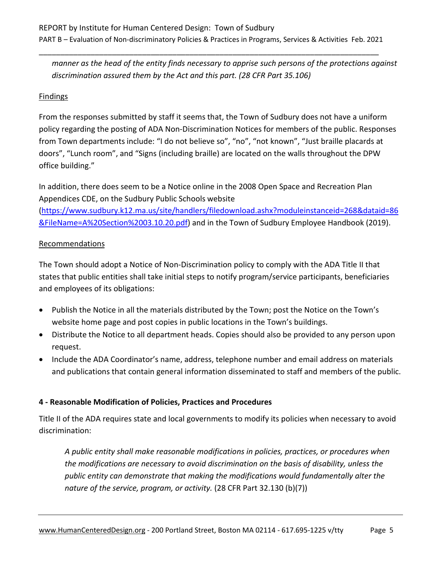*manner as the head of the entity finds necessary to apprise such persons of the protections against discrimination assured them by the Act and this part. (28 CFR Part 35.106)*

#### Findings

From the responses submitted by staff it seems that, the Town of Sudbury does not have a uniform policy regarding the posting of ADA Non-Discrimination Notices for members of the public. Responses from Town departments include: "I do not believe so", "no", "not known", "Just braille placards at doors", "Lunch room", and "Signs (including braille) are located on the walls throughout the DPW office building."

In addition, there does seem to be a Notice online in the 2008 Open Space and Recreation Plan Appendices CDE, on the Sudbury Public Schools website

[\(https://www.sudbury.k12.ma.us/site/handlers/filedownload.ashx?moduleinstanceid=268&dataid=86](https://www.sudbury.k12.ma.us/site/handlers/filedownload.ashx?moduleinstanceid=268&dataid=86&FileName=A%20Section%2003.10.20.pdf) [&FileName=A%20Section%2003.10.20.pdf\)](https://www.sudbury.k12.ma.us/site/handlers/filedownload.ashx?moduleinstanceid=268&dataid=86&FileName=A%20Section%2003.10.20.pdf) and in the Town of Sudbury Employee Handbook (2019).

#### Recommendations

The Town should adopt a Notice of Non-Discrimination policy to comply with the ADA Title II that states that public entities shall take initial steps to notify program/service participants, beneficiaries and employees of its obligations:

- Publish the Notice in all the materials distributed by the Town; post the Notice on the Town's website home page and post copies in public locations in the Town's buildings.
- Distribute the Notice to all department heads. Copies should also be provided to any person upon request.
- Include the ADA Coordinator's name, address, telephone number and email address on materials and publications that contain general information disseminated to staff and members of the public.

#### **4 - Reasonable Modification of Policies, Practices and Procedures**

Title II of the ADA requires state and local governments to modify its policies when necessary to avoid discrimination:

*A public entity shall make reasonable modifications in policies, practices, or procedures when the modifications are necessary to avoid discrimination on the basis of disability, unless the public entity can demonstrate that making the modifications would fundamentally alter the nature of the service, program, or activity.* (28 CFR Part 32.130 (b)(7))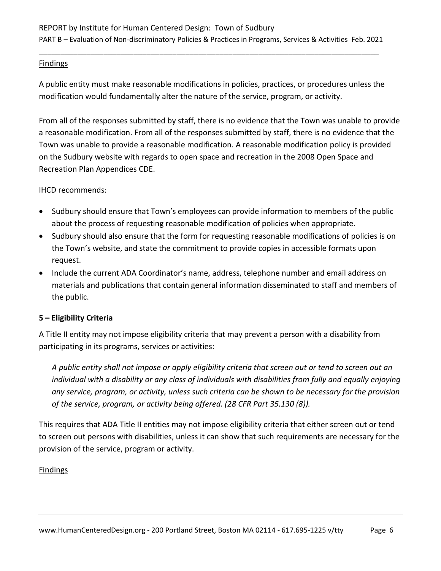#### Findings

A public entity must make reasonable modifications in policies, practices, or procedures unless the modification would fundamentally alter the nature of the service, program, or activity.

From all of the responses submitted by staff, there is no evidence that the Town was unable to provide a reasonable modification. From all of the responses submitted by staff, there is no evidence that the Town was unable to provide a reasonable modification. A reasonable modification policy is provided on the Sudbury website with regards to open space and recreation in the 2008 Open Space and Recreation Plan Appendices CDE.

#### IHCD recommends:

- Sudbury should ensure that Town's employees can provide information to members of the public about the process of requesting reasonable modification of policies when appropriate.
- Sudbury should also ensure that the form for requesting reasonable modifications of policies is on the Town's website, and state the commitment to provide copies in accessible formats upon request.
- Include the current ADA Coordinator's name, address, telephone number and email address on materials and publications that contain general information disseminated to staff and members of the public.

#### **5 – Eligibility Criteria**

A Title II entity may not impose eligibility criteria that may prevent a person with a disability from participating in its programs, services or activities:

*A public entity shall not impose or apply eligibility criteria that screen out or tend to screen out an individual with a disability or any class of individuals with disabilities from fully and equally enjoying any service, program, or activity, unless such criteria can be shown to be necessary for the provision of the service, program, or activity being offered. (28 CFR Part 35.130 (8)).*

This requires that ADA Title II entities may not impose eligibility criteria that either screen out or tend to screen out persons with disabilities, unless it can show that such requirements are necessary for the provision of the service, program or activity.

#### **Findings**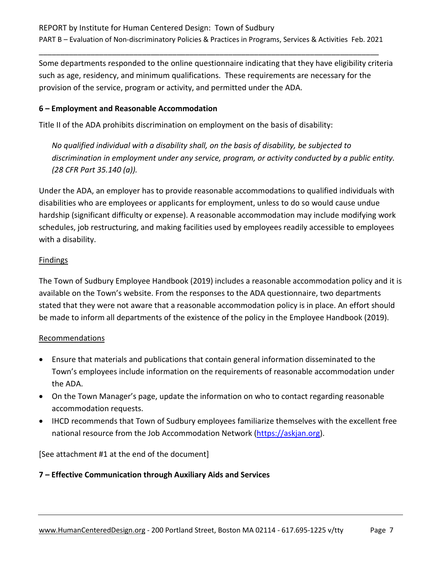Some departments responded to the online questionnaire indicating that they have eligibility criteria such as age, residency, and minimum qualifications. These requirements are necessary for the provision of the service, program or activity, and permitted under the ADA.

#### **6 – Employment and Reasonable Accommodation**

Title II of the ADA prohibits discrimination on employment on the basis of disability:

*No qualified individual with a disability shall, on the basis of disability, be subjected to discrimination in employment under any service, program, or activity conducted by a public entity. (28 CFR Part 35.140 (a)).*

Under the ADA, an employer has to provide reasonable accommodations to qualified individuals with disabilities who are employees or applicants for employment, unless to do so would cause undue hardship (significant difficulty or expense). A reasonable accommodation may include modifying work schedules, job restructuring, and making facilities used by employees readily accessible to employees with a disability.

#### Findings

The Town of Sudbury Employee Handbook (2019) includes a reasonable accommodation policy and it is available on the Town's website. From the responses to the ADA questionnaire, two departments stated that they were not aware that a reasonable accommodation policy is in place. An effort should be made to inform all departments of the existence of the policy in the Employee Handbook (2019).

#### Recommendations

- Ensure that materials and publications that contain general information disseminated to the Town's employees include information on the requirements of reasonable accommodation under the ADA.
- On the Town Manager's page, update the information on who to contact regarding reasonable accommodation requests.
- IHCD recommends that Town of Sudbury employees familiarize themselves with the excellent free national resource from the Job Accommodation Network [\(https://askjan.org\)](https://askjan.org/).

[See attachment #1 at the end of the document]

#### **7 – Effective Communication through Auxiliary Aids and Services**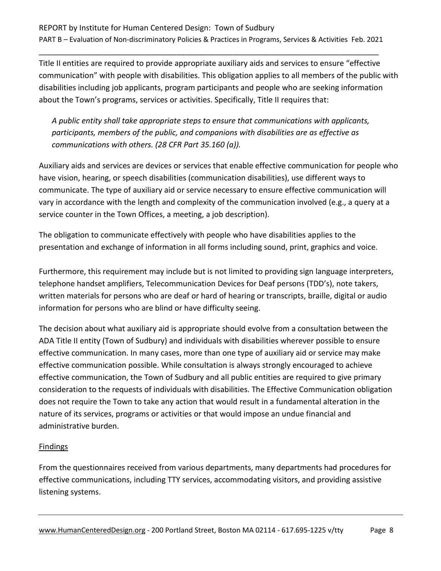Title II entities are required to provide appropriate auxiliary aids and services to ensure "effective communication" with people with disabilities. This obligation applies to all members of the public with disabilities including job applicants, program participants and people who are seeking information about the Town's programs, services or activities. Specifically, Title II requires that:

*A public entity shall take appropriate steps to ensure that communications with applicants, participants, members of the public, and companions with disabilities are as effective as communications with others. (28 CFR Part 35.160 (a)).*

Auxiliary aids and services are devices or services that enable effective communication for people who have vision, hearing, or speech disabilities (communication disabilities), use different ways to communicate. The type of auxiliary aid or service necessary to ensure effective communication will vary in accordance with the length and complexity of the communication involved (e.g., a query at a service counter in the Town Offices, a meeting, a job description).

The obligation to communicate effectively with people who have disabilities applies to the presentation and exchange of information in all forms including sound, print, graphics and voice.

Furthermore, this requirement may include but is not limited to providing sign language interpreters, telephone handset amplifiers, Telecommunication Devices for Deaf persons (TDD's), note takers, written materials for persons who are deaf or hard of hearing or transcripts, braille, digital or audio information for persons who are blind or have difficulty seeing.

The decision about what auxiliary aid is appropriate should evolve from a consultation between the ADA Title II entity (Town of Sudbury) and individuals with disabilities wherever possible to ensure effective communication. In many cases, more than one type of auxiliary aid or service may make effective communication possible. While consultation is always strongly encouraged to achieve effective communication, the Town of Sudbury and all public entities are required to give primary consideration to the requests of individuals with disabilities. The Effective Communication obligation does not require the Town to take any action that would result in a fundamental alteration in the nature of its services, programs or activities or that would impose an undue financial and administrative burden.

#### Findings

From the questionnaires received from various departments, many departments had procedures for effective communications, including TTY services, accommodating visitors, and providing assistive listening systems.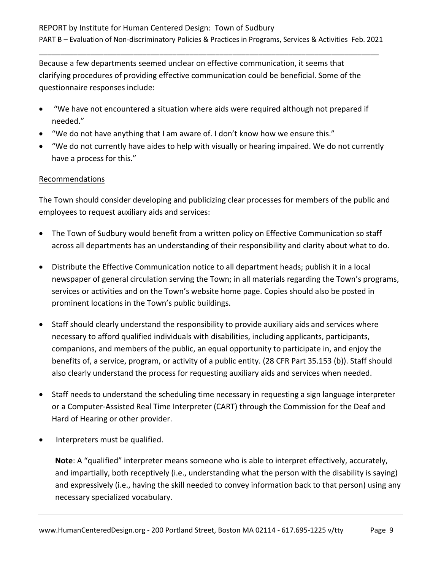Because a few departments seemed unclear on effective communication, it seems that clarifying procedures of providing effective communication could be beneficial. Some of the questionnaire responses include:

- "We have not encountered a situation where aids were required although not prepared if needed."
- "We do not have anything that I am aware of. I don't know how we ensure this."
- "We do not currently have aides to help with visually or hearing impaired. We do not currently have a process for this."

#### Recommendations

The Town should consider developing and publicizing clear processes for members of the public and employees to request auxiliary aids and services:

- The Town of Sudbury would benefit from a written policy on Effective Communication so staff across all departments has an understanding of their responsibility and clarity about what to do.
- Distribute the Effective Communication notice to all department heads; publish it in a local newspaper of general circulation serving the Town; in all materials regarding the Town's programs, services or activities and on the Town's website home page. Copies should also be posted in prominent locations in the Town's public buildings.
- Staff should clearly understand the responsibility to provide auxiliary aids and services where necessary to afford qualified individuals with disabilities, including applicants, participants, companions, and members of the public, an equal opportunity to participate in, and enjoy the benefits of, a service, program, or activity of a public entity. (28 CFR Part 35.153 (b)). Staff should also clearly understand the process for requesting auxiliary aids and services when needed.
- Staff needs to understand the scheduling time necessary in requesting a sign language interpreter or a Computer-Assisted Real Time Interpreter (CART) through the Commission for the Deaf and Hard of Hearing or other provider.
- Interpreters must be qualified.

**Note**: A "qualified" interpreter means someone who is able to interpret effectively, accurately, and impartially, both receptively (i.e., understanding what the person with the disability is saying) and expressively (i.e., having the skill needed to convey information back to that person) using any necessary specialized vocabulary.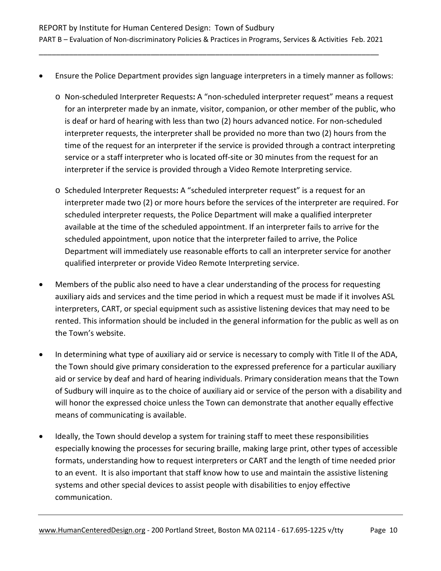- Ensure the Police Department provides sign language interpreters in a timely manner as follows:
	- o Non-scheduled Interpreter Requests**:** A "non-scheduled interpreter request" means a request for an interpreter made by an inmate, visitor, companion, or other member of the public, who is deaf or hard of hearing with less than two (2) hours advanced notice. For non-scheduled interpreter requests, the interpreter shall be provided no more than two (2) hours from the time of the request for an interpreter if the service is provided through a contract interpreting service or a staff interpreter who is located off-site or 30 minutes from the request for an interpreter if the service is provided through a Video Remote Interpreting service.
	- o Scheduled Interpreter Requests**:** A "scheduled interpreter request" is a request for an interpreter made two (2) or more hours before the services of the interpreter are required. For scheduled interpreter requests, the Police Department will make a qualified interpreter available at the time of the scheduled appointment. If an interpreter fails to arrive for the scheduled appointment, upon notice that the interpreter failed to arrive, the Police Department will immediately use reasonable efforts to call an interpreter service for another qualified interpreter or provide Video Remote Interpreting service.
- Members of the public also need to have a clear understanding of the process for requesting auxiliary aids and services and the time period in which a request must be made if it involves ASL interpreters, CART, or special equipment such as assistive listening devices that may need to be rented. This information should be included in the general information for the public as well as on the Town's website.
- In determining what type of auxiliary aid or service is necessary to comply with Title II of the ADA, the Town should give primary consideration to the expressed preference for a particular auxiliary aid or service by deaf and hard of hearing individuals. Primary consideration means that the Town of Sudbury will inquire as to the choice of auxiliary aid or service of the person with a disability and will honor the expressed choice unless the Town can demonstrate that another equally effective means of communicating is available.
- Ideally, the Town should develop a system for training staff to meet these responsibilities especially knowing the processes for securing braille, making large print, other types of accessible formats, understanding how to request interpreters or CART and the length of time needed prior to an event. It is also important that staff know how to use and maintain the assistive listening systems and other special devices to assist people with disabilities to enjoy effective communication.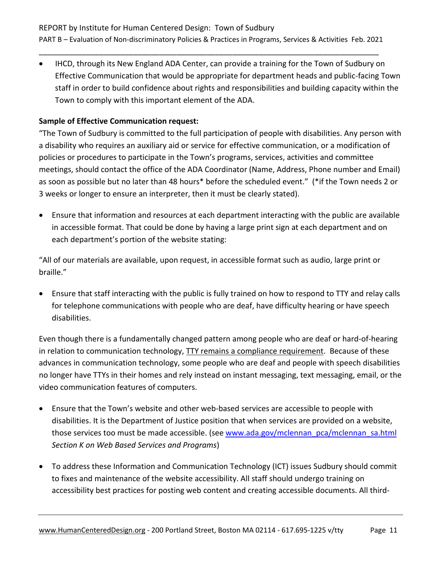• IHCD, through its New England ADA Center, can provide a training for the Town of Sudbury on Effective Communication that would be appropriate for department heads and public-facing Town staff in order to build confidence about rights and responsibilities and building capacity within the Town to comply with this important element of the ADA.

#### **Sample of Effective Communication request:**

"The Town of Sudbury is committed to the full participation of people with disabilities. Any person with a disability who requires an auxiliary aid or service for effective communication, or a modification of policies or procedures to participate in the Town's programs, services, activities and committee meetings, should contact the office of the ADA Coordinator (Name, Address, Phone number and Email) as soon as possible but no later than 48 hours\* before the scheduled event." (\*if the Town needs 2 or 3 weeks or longer to ensure an interpreter, then it must be clearly stated).

• Ensure that information and resources at each department interacting with the public are available in accessible format. That could be done by having a large print sign at each department and on each department's portion of the website stating:

"All of our materials are available, upon request, in accessible format such as audio, large print or braille."

• Ensure that staff interacting with the public is fully trained on how to respond to TTY and relay calls for telephone communications with people who are deaf, have difficulty hearing or have speech disabilities.

Even though there is a fundamentally changed pattern among people who are deaf or hard-of-hearing in relation to communication technology, TTY remains a compliance requirement. Because of these advances in communication technology, some people who are deaf and people with speech disabilities no longer have TTYs in their homes and rely instead on instant messaging, text messaging, email, or the video communication features of computers.

- Ensure that the Town's website and other web-based services are accessible to people with disabilities. It is the Department of Justice position that when services are provided on a website, those services too must be made accessible. (see [www.ada.gov/mclennan\\_pca/mclennan\\_sa.html](http://www.ada.gov/mclennan_pca/mclennan_sa.html) *Section K on Web Based Services and Programs*)
- To address these Information and Communication Technology (ICT) issues Sudbury should commit to fixes and maintenance of the website accessibility. All staff should undergo training on accessibility best practices for posting web content and creating accessible documents. All third-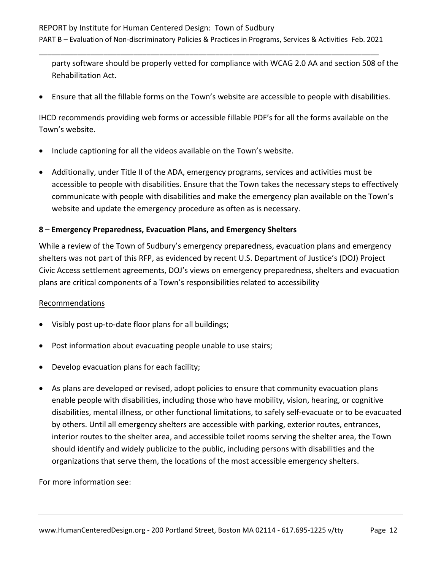party software should be properly vetted for compliance with WCAG 2.0 AA and section 508 of the Rehabilitation Act.

• Ensure that all the fillable forms on the Town's website are accessible to people with disabilities.

IHCD recommends providing web forms or accessible fillable PDF's for all the forms available on the Town's website.

- Include captioning for all the videos available on the Town's website.
- Additionally, under Title II of the ADA, emergency programs, services and activities must be accessible to people with disabilities. Ensure that the Town takes the necessary steps to effectively communicate with people with disabilities and make the emergency plan available on the Town's website and update the emergency procedure as often as is necessary.

#### **8 – Emergency Preparedness, Evacuation Plans, and Emergency Shelters**

While a review of the Town of Sudbury's emergency preparedness, evacuation plans and emergency shelters was not part of this RFP, as evidenced by recent U.S. Department of Justice's (DOJ) Project Civic Access settlement agreements, DOJ's views on emergency preparedness, shelters and evacuation plans are critical components of a Town's responsibilities related to accessibility

#### Recommendations

- Visibly post up-to-date floor plans for all buildings;
- Post information about evacuating people unable to use stairs;
- Develop evacuation plans for each facility;
- As plans are developed or revised, adopt policies to ensure that community evacuation plans enable people with disabilities, including those who have mobility, vision, hearing, or cognitive disabilities, mental illness, or other functional limitations, to safely self-evacuate or to be evacuated by others. Until all emergency shelters are accessible with parking, exterior routes, entrances, interior routes to the shelter area, and accessible toilet rooms serving the shelter area, the Town should identify and widely publicize to the public, including persons with disabilities and the organizations that serve them, the locations of the most accessible emergency shelters.

For more information see: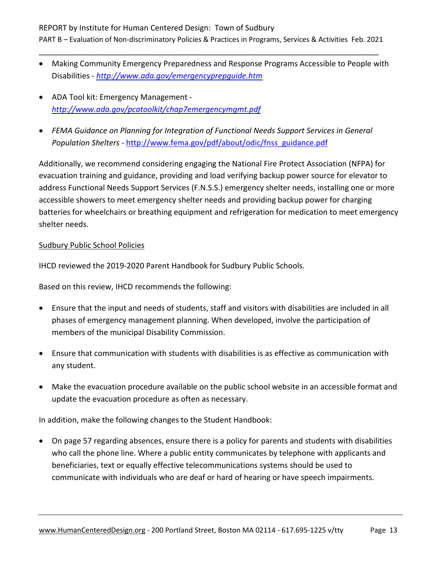- Making Community Emergency Preparedness and Response Programs Accessible to People with Disabilities - *<http://www.ada.gov/emergencyprepguide.htm>*
- ADA Tool kit: Emergency Management *<http://www.ada.gov/pcatoolkit/chap7emergencymgmt.pdf>*
- *FEMA Guidance on Planning for Integration of Functional Needs Support Services in General Population Shelters -* [http://www.fema.gov/pdf/about/odic/fnss\\_guidance.pdf](http://www.fema.gov/pdf/about/odic/fnss_guidance.pdf)

Additionally, we recommend considering engaging the National Fire Protect Association (NFPA) for evacuation training and guidance, providing and load verifying backup power source for elevator to address Functional Needs Support Services (F.N.S.S.) emergency shelter needs, installing one or more accessible showers to meet emergency shelter needs and providing backup power for charging batteries for wheelchairs or breathing equipment and refrigeration for medication to meet emergency shelter needs.

#### Sudbury Public School Policies

IHCD reviewed the 2019-2020 Parent Handbook for Sudbury Public Schools.

Based on this review, IHCD recommends the following:

- Ensure that the input and needs of students, staff and visitors with disabilities are included in all phases of emergency management planning. When developed, involve the participation of members of the municipal Disability Commission.
- Ensure that communication with students with disabilities is as effective as communication with any student.
- Make the evacuation procedure available on the public school website in an accessible format and update the evacuation procedure as often as necessary.

In addition, make the following changes to the Student Handbook:

• On page 57 regarding absences, ensure there is a policy for parents and students with disabilities who call the phone line. Where a public entity communicates by telephone with applicants and beneficiaries, text or equally effective telecommunications systems should be used to communicate with individuals who are deaf or hard of hearing or have speech impairments.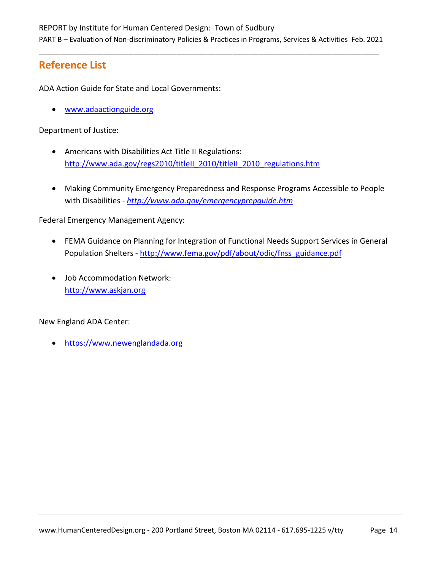## **Reference List**

ADA Action Guide for State and Local Governments:

• [www.adaactionguide.org](http://www.adaactionguide.org/)

Department of Justice:

- Americans with Disabilities Act Title II Regulations: [http://www.ada.gov/regs2010/titleII\\_2010/titleII\\_2010\\_regulations.htm](http://www.ada.gov/regs2010/titleII_2010/titleII_2010_regulations.htm)
- Making Community Emergency Preparedness and Response Programs Accessible to People with Disabilities - *<http://www.ada.gov/emergencyprepguide.htm>*

Federal Emergency Management Agency:

- FEMA Guidance on Planning for Integration of Functional Needs Support Services in General Population Shelters - [http://www.fema.gov/pdf/about/odic/fnss\\_guidance.pdf](http://www.fema.gov/pdf/about/odic/fnss_guidance.pdf)
- Job Accommodation Network: [http://www.askjan.org](http://www.askjan.org/)

New England ADA Center:

• [https://www.newenglandada.org](https://www.newenglandada.org/)